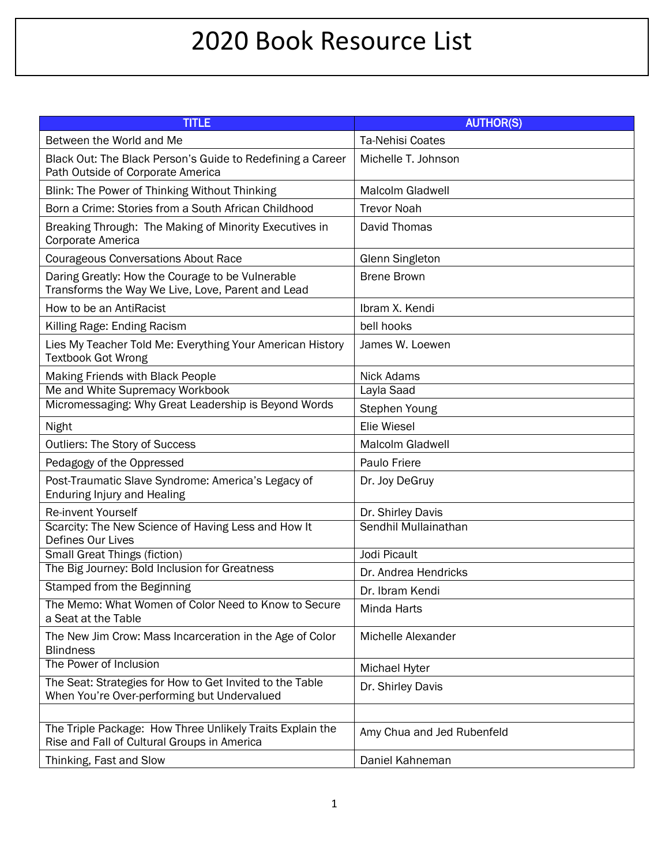## 2020 Book Resource List

| <b>TITLE</b>                                                                                             | <b>AUTHOR(S)</b>           |
|----------------------------------------------------------------------------------------------------------|----------------------------|
| Between the World and Me                                                                                 | <b>Ta-Nehisi Coates</b>    |
| Black Out: The Black Person's Guide to Redefining a Career<br>Path Outside of Corporate America          | Michelle T. Johnson        |
| Blink: The Power of Thinking Without Thinking                                                            | <b>Malcolm Gladwell</b>    |
| Born a Crime: Stories from a South African Childhood                                                     | <b>Trevor Noah</b>         |
| Breaking Through: The Making of Minority Executives in<br>Corporate America                              | David Thomas               |
| <b>Courageous Conversations About Race</b>                                                               | <b>Glenn Singleton</b>     |
| Daring Greatly: How the Courage to be Vulnerable<br>Transforms the Way We Live, Love, Parent and Lead    | <b>Brene Brown</b>         |
| How to be an AntiRacist                                                                                  | Ibram X. Kendi             |
| Killing Rage: Ending Racism                                                                              | bell hooks                 |
| Lies My Teacher Told Me: Everything Your American History<br><b>Textbook Got Wrong</b>                   | James W. Loewen            |
| Making Friends with Black People                                                                         | <b>Nick Adams</b>          |
| Me and White Supremacy Workbook                                                                          | Layla Saad                 |
| Micromessaging: Why Great Leadership is Beyond Words                                                     | Stephen Young              |
| Night                                                                                                    | Elie Wiesel                |
| Outliers: The Story of Success                                                                           | Malcolm Gladwell           |
| Pedagogy of the Oppressed                                                                                | Paulo Friere               |
| Post-Traumatic Slave Syndrome: America's Legacy of<br><b>Enduring Injury and Healing</b>                 | Dr. Joy DeGruy             |
| Re-invent Yourself                                                                                       | Dr. Shirley Davis          |
| Scarcity: The New Science of Having Less and How It<br>Defines Our Lives                                 | Sendhil Mullainathan       |
| <b>Small Great Things (fiction)</b>                                                                      | Jodi Picault               |
| The Big Journey: Bold Inclusion for Greatness                                                            | Dr. Andrea Hendricks       |
| Stamped from the Beginning                                                                               | Dr. Ibram Kendi            |
| The Memo: What Women of Color Need to Know to Secure<br>a Seat at the Table                              | Minda Harts                |
| The New Jim Crow: Mass Incarceration in the Age of Color<br><b>Blindness</b>                             | Michelle Alexander         |
| The Power of Inclusion                                                                                   | <b>Michael Hyter</b>       |
| The Seat: Strategies for How to Get Invited to the Table<br>When You're Over-performing but Undervalued  | Dr. Shirley Davis          |
|                                                                                                          |                            |
| The Triple Package: How Three Unlikely Traits Explain the<br>Rise and Fall of Cultural Groups in America | Amy Chua and Jed Rubenfeld |
| Thinking, Fast and Slow                                                                                  | Daniel Kahneman            |